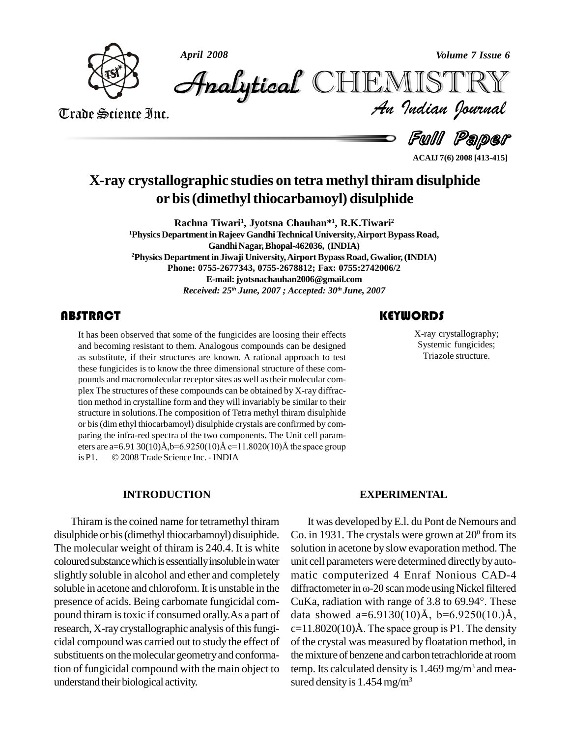



*Volume 7 Issue 6*<br>IISTRY<br>Indian Iournal CHEMISTRY

Trade Science Inc. Trade Science Inc.

Full Paper

**ACAIJ 7(6) 2008 [413-415]**

## **X-ray crystallographic studies on tetra methylthiram disulphide or bis(dimethylthiocarbamoyl) disulphide**

**Rachna Tiwari<sup>1</sup> , Jyotsna Chauhan\* 1 , R.K.Tiwari<sup>2</sup> <sup>1</sup>Physics DepartmentinRajeev GandhiTechnical University,AirportBypass Road,** Gandhi Nagar, Bhopal-462036, (INDIA) **<sup>2</sup>PhysicsDepartmentin Jiwaji University,AirportBypassRoad,Gwalior,(INDIA) Phone: 0755-2677343, 0755-2678812; Fax: 0755:2742006/2 E-mail:[jyotsnachauhan2006@gmail.com](mailto:jyotsnachauhan2006@gmail.com)** *Received: 25 th June, 2007 ; Accepted: 30 th June, 2007*

It has been observed that<br>and becoming resistant to<br>as substitute, if their str It has been observed that some of the fungicides are loosing their effects and becoming resistant to them. Analogous compounds can be designed as substitute, if their structures are known. A rational approach to test these fungicides is to know the three dimensional structure of these com pounds and macromolecular receptor sites as well astheir molecular com plex The structures of these compounds can be obtained by X-ray diffraction method in crystalline form and they will invariably be similar to their structure in solutions.The composition of Tetra methyl thiram disulphide or bis(dimethyl thiocarbamoyl) disulphide crystals are confirmed by com paring the infra-red spectra of the two components. The Unit cell param or bis (dim ethyl thiocarbamoyl) disulphide crystals are confirmed by comparing the infra-red spectra of the two components. The Unit cell parameters are  $a=6.91\ 30(10)$ Å,b=6.9250(10)Å  $c=11.8020(10)$ Å the space group paring the infra-red spectra of the two components. The l<br>eters are a=6.91 30(10)Å,b=6.9250(10)Å c=11.8020(10)Å<br>is P1. © 2008 Trade Science Inc. - INDIA

#### **INTRODUCTION**

Thiram is the coined name for tetramethyl thiram disulphide or bis(dimethyl thiocarbamoyl) disuiphide. The molecular weight of thiram is 240.4. It is white coloured substance which is essentially insoluble in water slightly soluble in alcohol and ether and completely soluble in acetone and chloroform. It is unstable in the diffractometer in  $\omega$ -20 scan mode using Nickel filtered presence of acids. Being carbomate fungicidal com pound thiram is toxic if consumed orally. As a part of data showed a=6.9130(10) $\AA$ , b=6.9250(10.) $\AA$ , research, X-ray crystallographic analysis of this fungicidal compound was carried out to study the effect of substituents on the molecular geometry and conformation of fungicidal compound with the main object to understand their biological activity.

### **KEYWORDS**

X-ray crystallogram<br>Systemic fungicid<br>Triazole structure X-ray crystallography; Systemic fungicides; Triazole structure.

#### **EXPERIMENTAL**

It was developed byE.l. du Pont de Nemours and Co. in 1931. The crystals were grown at  $20^{\circ}$  from its solution in acetone by slow evaporation method. The unit cell parameters were determined directly by automatic computerized 4 Enraf Nonious CAD-4 unit cell parameters were determined directly by auto-<br>matic computerized 4 Enraf Nonious CAD-4<br>diffractometer in  $\omega$ -2 $\theta$  scan mode using Nickel filtered matic computerized 4 Enraf Nonious CAD-4<br>diffractometer in  $\omega$ -20 scan mode using Nickel filtered<br>CuKa, radiation with range of 3.8 to 69.94°. These CuKa, radiation with range of 3.8 to  $69.94^\circ$ . These  $c=11.8020(10)$ Å. The space group is P1. The density of the crystal was measured by floatation method, in the mixture of benzene and carbon tetrachloride at room temp. Its calculated density is  $1.469$  mg/m<sup>3</sup> and measured density is  $1.454 \text{ mg/m}^3$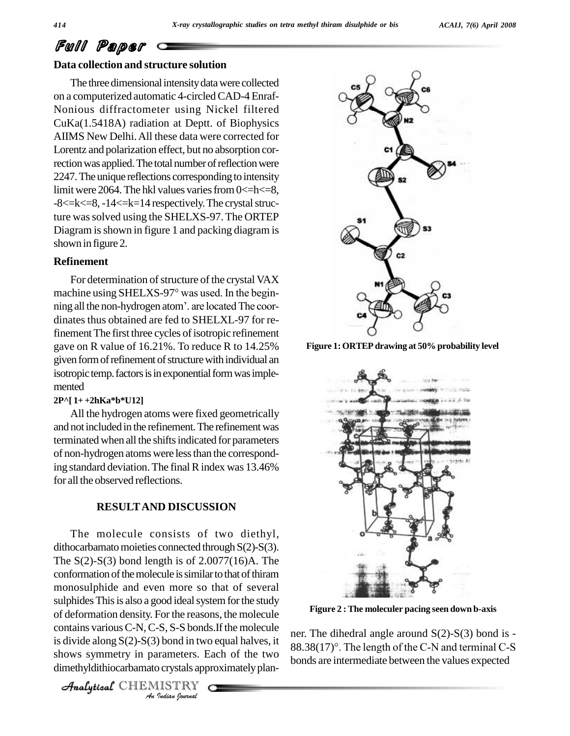# Full Paper

#### **Data collection and structure solution**

The three dimensional intensity data were collected on a computerized automatic 4-circledCAD-4 Enraf- Nonious diffractometer using Nickel filtered CuKa(1.5418A) radiation at Deptt. of Biophysics AIIMS New Delhi.All these data were corrected for Lorentz and polarization effect, but no absorption correction was applied. The total number of reflection were 2247. The unique reflections corresponding to intensity limit were 2064. The hkl values varies from  $0 < = h < 8$ , -8 <= k < = 8, -14 < = k = 14 respectively. The crystal structure wassolved using the SHELXS-97.The ORTEP Diagram is shown in figure 1 and packing diagram is shown in figure 2.

#### **Refinement**

For determination of structure of the crystal VAX **Kerinement**<br>For determination of structure of the crystal VAX<br>machine using SHELXS-97° was used. In the begin-For determination of structure of the crystal VAX<br>machine using SHELXS-97° was used. In the begin-<br>ning all the non-hydrogen atom'. are located The coordinates thus obtained are fed to SHELXL-97 for refinement The first three cycles of isotropic refinement gave on R value of 16.21%. To reduce R to 14.25% given form of refinement of structure with individual an isotropic temp. factors is in exponential form was implemented

#### **2P^[ 1+ +2hKa\*b\*U12]**

All the hydrogen atoms were fixed geometrically and not included in the refinement. The refinement was terminated when all the shifts indicated for parameters of non-hydrogen atoms were lessthan the corresponding standard deviation. The final R index was 13.46% for all the observed reflections.

#### **RESULTAND DISCUSSION**

of deformation density. For the reasons, the molecule *Indian Indian*<br>*I*s, *S*-*S* bonds<br>*I* bond in two<br>*Indian hournal*  $\frac{1}{\sqrt{2}}$  contains various C-N, C-S, S-S bonds.If the molecule The molecule consists of two diethyl, dithocarbamato moieties connected through  $S(2)$ - $S(3)$ . The  $S(2)$ - $S(3)$  bond length is of 2.0077(16)A. The conformation of the molecule is similar to that of thiram monosulphide and even more so that of several sulphides This is also a good ideal system for the study is divide along  $S(2)$ - $S(3)$  bond in two equal halves, it  $\frac{1}{8}$ shows symmetry in parameters. Each of the two dimethyldithiocarbamato crystals approximatelyplan-

CHEMISTRY



**Figure 1:ORTEP drawing at 50%probability level**



**Figure 2 : The moleculer pacing seen down b-axis**

ner. The dihedral angle around S(2)-S(3) bond is -  $88.38(17)$ °. The length of the C-N and terminal C-S bonds are intermediate between the values expected